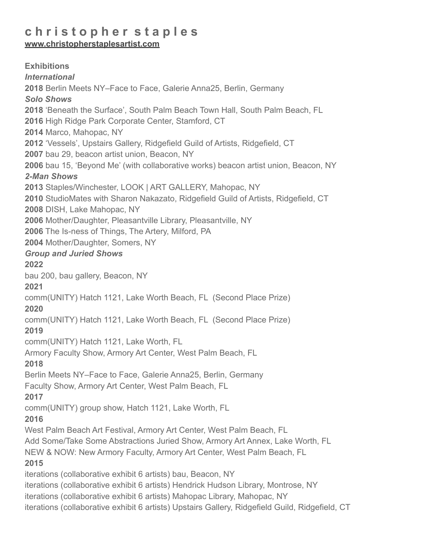# **c h r i s t o p h e r s t a p l e s**

**[www.christopherstaplesartist.com](http://www.christopherstaplesartist.com)** 

**Exhibitions** *International* **2018** Berlin Meets NY–Face to Face, Galerie Anna25, Berlin, Germany *Solo Shows* **2018** 'Beneath the Surface', South Palm Beach Town Hall, South Palm Beach, FL **2016** High Ridge Park Corporate Center, Stamford, CT **2014** Marco, Mahopac, NY **2012** 'Vessels', Upstairs Gallery, Ridgefield Guild of Artists, Ridgefield, CT **2007** bau 29, beacon artist union, Beacon, NY **2006** bau 15, 'Beyond Me' (with collaborative works) beacon artist union, Beacon, NY *2-Man Shows* **2013** Staples/Winchester, LOOK | ART GALLERY, Mahopac, NY **2010** StudioMates with Sharon Nakazato, Ridgefield Guild of Artists, Ridgefield, CT **2008** DISH, Lake Mahopac, NY **2006** Mother/Daughter, Pleasantville Library, Pleasantville, NY **2006** The Is-ness of Things, The Artery, Milford, PA **2004** Mother/Daughter, Somers, NY *Group and Juried Shows* **2022** bau 200, bau gallery, Beacon, NY **2021** comm(UNITY) Hatch 1121, Lake Worth Beach, FL (Second Place Prize) **2020** comm(UNITY) Hatch 1121, Lake Worth Beach, FL (Second Place Prize) **2019** comm(UNITY) Hatch 1121, Lake Worth, FL Armory Faculty Show, Armory Art Center, West Palm Beach, FL **2018** Berlin Meets NY–Face to Face, Galerie Anna25, Berlin, Germany Faculty Show, Armory Art Center, West Palm Beach, FL **2017** comm(UNITY) group show, Hatch 1121, Lake Worth, FL **2016** West Palm Beach Art Festival, Armory Art Center, West Palm Beach, FL Add Some/Take Some Abstractions Juried Show, Armory Art Annex, Lake Worth, FL NEW & NOW: New Armory Faculty, Armory Art Center, West Palm Beach, FL **2015** iterations (collaborative exhibit 6 artists) bau, Beacon, NY iterations (collaborative exhibit 6 artists) Hendrick Hudson Library, Montrose, NY iterations (collaborative exhibit 6 artists) Mahopac Library, Mahopac, NY iterations (collaborative exhibit 6 artists) Upstairs Gallery, Ridgefield Guild, Ridgefield, CT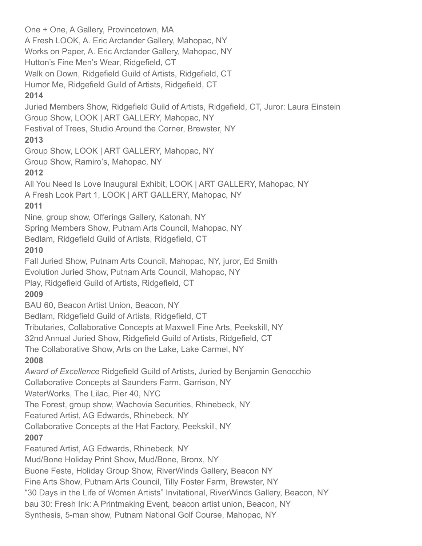One + One, A Gallery, Provincetown, MA A Fresh LOOK, A. Eric Arctander Gallery, Mahopac, NY Works on Paper, A. Eric Arctander Gallery, Mahopac, NY Hutton's Fine Men's Wear, Ridgefield, CT Walk on Down, Ridgefield Guild of Artists, Ridgefield, CT Humor Me, Ridgefield Guild of Artists, Ridgefield, CT **2014** Juried Members Show, Ridgefield Guild of Artists, Ridgefield, CT, Juror: Laura Einstein Group Show, LOOK | ART GALLERY, Mahopac, NY Festival of Trees, Studio Around the Corner, Brewster, NY **2013** Group Show, LOOK | ART GALLERY, Mahopac, NY Group Show, Ramiro's, Mahopac, NY **2012** All You Need Is Love Inaugural Exhibit, LOOK | ART GALLERY, Mahopac, NY A Fresh Look Part 1, LOOK | ART GALLERY, Mahopac, NY **2011** Nine, group show, Offerings Gallery, Katonah, NY Spring Members Show, Putnam Arts Council, Mahopac, NY Bedlam, Ridgefield Guild of Artists, Ridgefield, CT **2010** Fall Juried Show, Putnam Arts Council, Mahopac, NY, juror, Ed Smith Evolution Juried Show, Putnam Arts Council, Mahopac, NY Play, Ridgefield Guild of Artists, Ridgefield, CT **2009** BAU 60, Beacon Artist Union, Beacon, NY Bedlam, Ridgefield Guild of Artists, Ridgefield, CT Tributaries, Collaborative Concepts at Maxwell Fine Arts, Peekskill, NY 32nd Annual Juried Show, Ridgefield Guild of Artists, Ridgefield, CT The Collaborative Show, Arts on the Lake, Lake Carmel, NY **2008** *Award of Excellenc*e Ridgefield Guild of Artists, Juried by Benjamin Genocchio Collaborative Concepts at Saunders Farm, Garrison, NY WaterWorks, The Lilac, Pier 40, NYC The Forest, group show, Wachovia Securities, Rhinebeck, NY Featured Artist, AG Edwards, Rhinebeck, NY Collaborative Concepts at the Hat Factory, Peekskill, NY **2007** Featured Artist, AG Edwards, Rhinebeck, NY Mud/Bone Holiday Print Show, Mud/Bone, Bronx, NY Buone Feste, Holiday Group Show, RiverWinds Gallery, Beacon NY Fine Arts Show, Putnam Arts Council, Tilly Foster Farm, Brewster, NY "30 Days in the Life of Women Artists" Invitational, RiverWinds Gallery, Beacon, NY bau 30: Fresh Ink: A Printmaking Event, beacon artist union, Beacon, NY Synthesis, 5-man show, Putnam National Golf Course, Mahopac, NY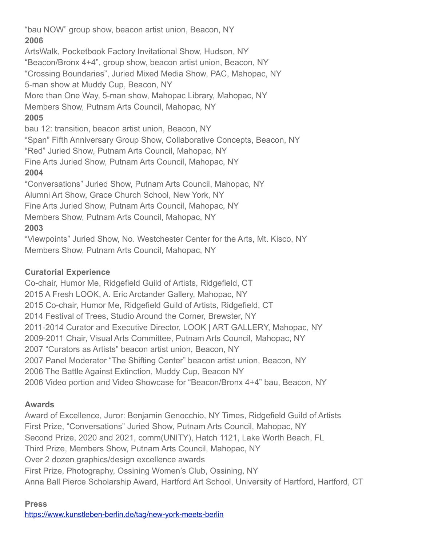"bau NOW" group show, beacon artist union, Beacon, NY **2006** ArtsWalk, Pocketbook Factory Invitational Show, Hudson, NY

"Beacon/Bronx 4+4", group show, beacon artist union, Beacon, NY

"Crossing Boundaries", Juried Mixed Media Show, PAC, Mahopac, NY

5-man show at Muddy Cup, Beacon, NY

More than One Way, 5-man show, Mahopac Library, Mahopac, NY

Members Show, Putnam Arts Council, Mahopac, NY

#### **2005**

bau 12: transition, beacon artist union, Beacon, NY

"Span" Fifth Anniversary Group Show, Collaborative Concepts, Beacon, NY

"Red" Juried Show, Putnam Arts Council, Mahopac, NY

Fine Arts Juried Show, Putnam Arts Council, Mahopac, NY

### **2004**

"Conversations" Juried Show, Putnam Arts Council, Mahopac, NY

Alumni Art Show, Grace Church School, New York, NY

Fine Arts Juried Show, Putnam Arts Council, Mahopac, NY

Members Show, Putnam Arts Council, Mahopac, NY

## **2003**

"Viewpoints" Juried Show, No. Westchester Center for the Arts, Mt. Kisco, NY Members Show, Putnam Arts Council, Mahopac, NY

### **Curatorial Experience**

Co-chair, Humor Me, Ridgefield Guild of Artists, Ridgefield, CT 2015 A Fresh LOOK, A. Eric Arctander Gallery, Mahopac, NY 2015 Co-chair, Humor Me, Ridgefield Guild of Artists, Ridgefield, CT 2014 Festival of Trees, Studio Around the Corner, Brewster, NY 2011-2014 Curator and Executive Director, LOOK | ART GALLERY, Mahopac, NY 2009-2011 Chair, Visual Arts Committee, Putnam Arts Council, Mahopac, NY 2007 "Curators as Artists" beacon artist union, Beacon, NY 2007 Panel Moderator "The Shifting Center" beacon artist union, Beacon, NY 2006 The Battle Against Extinction, Muddy Cup, Beacon NY 2006 Video portion and Video Showcase for "Beacon/Bronx 4+4" bau, Beacon, NY

## **Awards**

Award of Excellence, Juror: Benjamin Genocchio, NY Times, Ridgefield Guild of Artists First Prize, "Conversations" Juried Show, Putnam Arts Council, Mahopac, NY Second Prize, 2020 and 2021, comm(UNITY), Hatch 1121, Lake Worth Beach, FL Third Prize, Members Show, Putnam Arts Council, Mahopac, NY Over 2 dozen graphics/design excellence awards First Prize, Photography, Ossining Women's Club, Ossining, NY Anna Ball Pierce Scholarship Award, Hartford Art School, University of Hartford, Hartford, CT